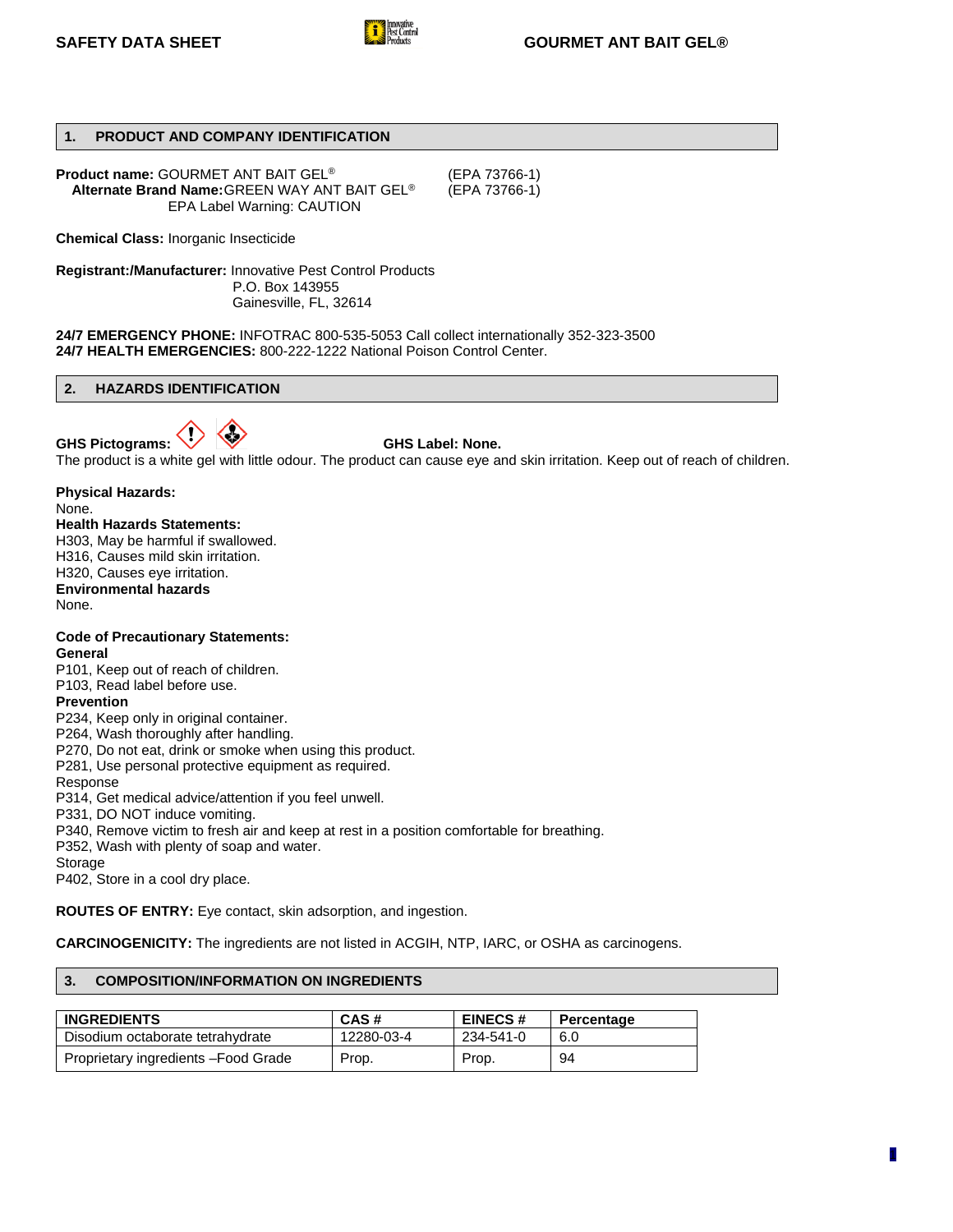

# **1. PRODUCT AND COMPANY IDENTIFICATION**

**Product name:** GOURMET ANT BAIT GEL® (EPA 73766-1) **Alternate Brand Name: GREEN WAY ANT BAIT GEL<sup>®</sup>** EPA Label Warning: CAUTION

**Chemical Class:** Inorganic Insecticide

**Registrant:/Manufacturer:** Innovative Pest Control Products P.O. Box 143955 Gainesville, FL, 32614

**24/7 EMERGENCY PHONE:** INFOTRAC 800-535-5053 Call collect internationally 352-323-3500 **24/7 HEALTH EMERGENCIES:** 800-222-1222 National Poison Control Center.

#### **2. HAZARDS IDENTIFICATION**

GHS Pictograms:  $\sqrt{\phantom{a}}$  W GHS Label: None.



The product is a white gel with little odour. The product can cause eye and skin irritation. Keep out of reach of children.

**Physical Hazards:** None.

# **Health Hazards Statements:**

H303, May be harmful if swallowed. H316, Causes mild skin irritation. H320, Causes eye irritation. **Environmental hazards** None.

**Code of Precautionary Statements: General**

P101, Keep out of reach of children.

# P103, Read label before use.

**Prevention**

P234, Keep only in original container.

P264, Wash thoroughly after handling.

P270, Do not eat, drink or smoke when using this product.

P281, Use personal protective equipment as required.

Response

P314, Get medical advice/attention if you feel unwell.

P331, DO NOT induce vomiting.

P340, Remove victim to fresh air and keep at rest in a position comfortable for breathing.

P352, Wash with plenty of soap and water.

Storage

P402, Store in a cool dry place.

**ROUTES OF ENTRY:** Eye contact, skin adsorption, and ingestion.

**CARCINOGENICITY:** The ingredients are not listed in ACGIH, NTP, IARC, or OSHA as carcinogens.

# **3. COMPOSITION/INFORMATION ON INGREDIENTS**

| <b>INGREDIENTS</b>                   | CAS#       | <b>EINECS#</b> | Percentage |
|--------------------------------------|------------|----------------|------------|
| Disodium octaborate tetrahydrate     | 12280-03-4 | 234-541-0      | 6.0        |
| Proprietary ingredients - Food Grade | Prop.      | Prop.          | 94         |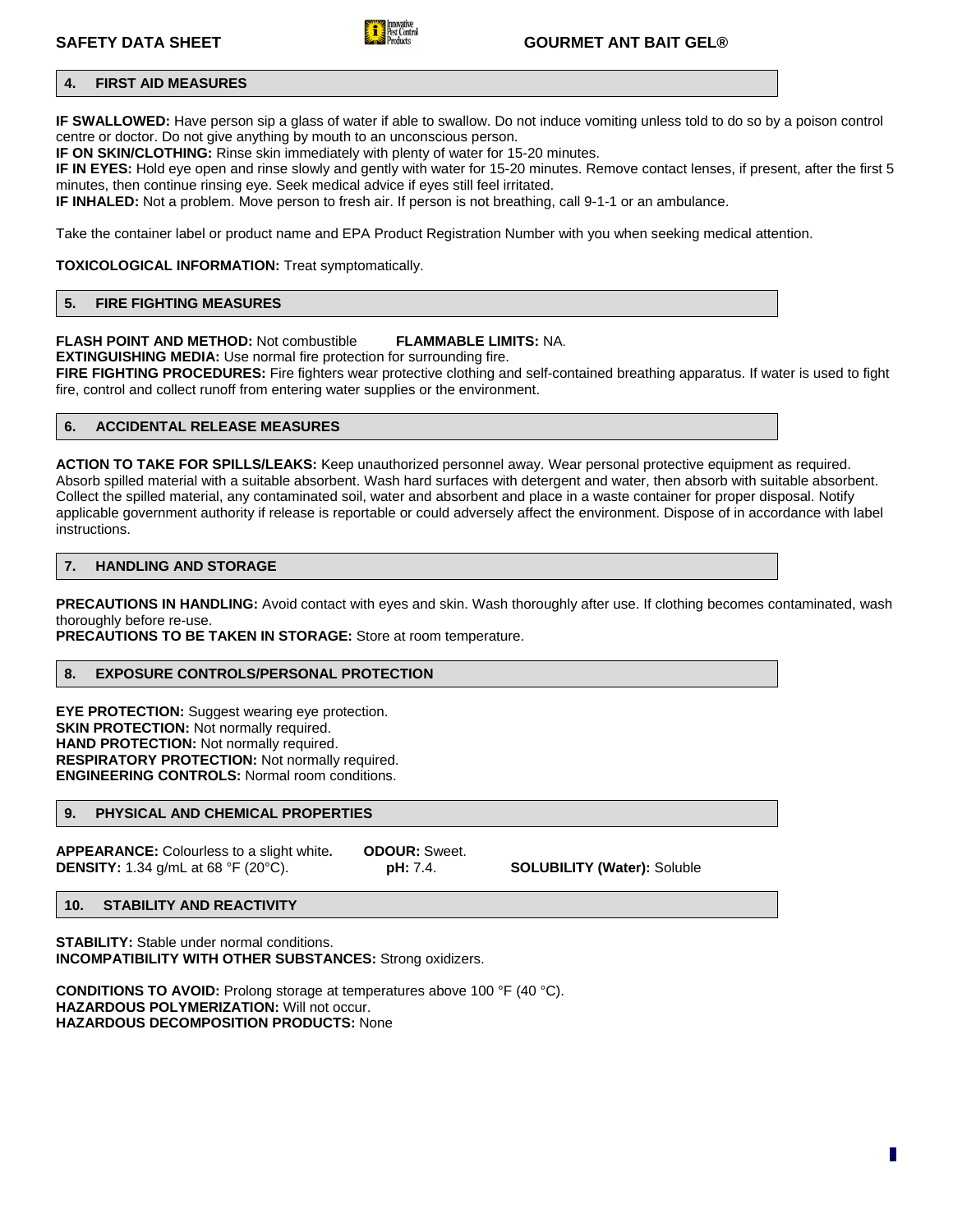

# **SAFETY DATA SHEET GOURMET ANT BAIT GEL®**

# **4. FIRST AID MEASURES**

**IF SWALLOWED:** Have person sip a glass of water if able to swallow. Do not induce vomiting unless told to do so by a poison control centre or doctor. Do not give anything by mouth to an unconscious person.

**IF ON SKIN/CLOTHING:** Rinse skin immediately with plenty of water for 15-20 minutes.

**IF IN EYES:** Hold eye open and rinse slowly and gently with water for 15-20 minutes. Remove contact lenses, if present, after the first 5 minutes, then continue rinsing eye. Seek medical advice if eyes still feel irritated.

**IF INHALED:** Not a problem. Move person to fresh air. If person is not breathing, call 9-1-1 or an ambulance.

Take the container label or product name and EPA Product Registration Number with you when seeking medical attention.

**TOXICOLOGICAL INFORMATION:** Treat symptomatically.

# **5. FIRE FIGHTING MEASURES**

### **FLASH POINT AND METHOD:** Not combustible **FLAMMABLE LIMITS:** NA.

**EXTINGUISHING MEDIA:** Use normal fire protection for surrounding fire.

**FIRE FIGHTING PROCEDURES:** Fire fighters wear protective clothing and self-contained breathing apparatus. If water is used to fight fire, control and collect runoff from entering water supplies or the environment.

# **6. ACCIDENTAL RELEASE MEASURES**

**ACTION TO TAKE FOR SPILLS/LEAKS:** Keep unauthorized personnel away. Wear personal protective equipment as required. Absorb spilled material with a suitable absorbent. Wash hard surfaces with detergent and water, then absorb with suitable absorbent. Collect the spilled material, any contaminated soil, water and absorbent and place in a waste container for proper disposal. Notify applicable government authority if release is reportable or could adversely affect the environment. Dispose of in accordance with label instructions.

# **7. HANDLING AND STORAGE**

**PRECAUTIONS IN HANDLING:** Avoid contact with eyes and skin. Wash thoroughly after use. If clothing becomes contaminated, wash thoroughly before re-use.

**PRECAUTIONS TO BE TAKEN IN STORAGE:** Store at room temperature.

#### **8. EXPOSURE CONTROLS/PERSONAL PROTECTION**

**EYE PROTECTION:** Suggest wearing eye protection. **SKIN PROTECTION:** Not normally required. **HAND PROTECTION:** Not normally required. **RESPIRATORY PROTECTION:** Not normally required. **ENGINEERING CONTROLS:** Normal room conditions.

# **9. PHYSICAL AND CHEMICAL PROPERTIES**

**APPEARANCE:** Colourless to a slight white**. ODOUR:** Sweet. **DENSITY:** 1.34 g/mL at 68 °F (20°C). **pH:** 7.4. **SOLUBILITY (Water):** Soluble

# **10. STABILITY AND REACTIVITY**

**STABILITY:** Stable under normal conditions. **INCOMPATIBILITY WITH OTHER SUBSTANCES:** Strong oxidizers.

**CONDITIONS TO AVOID:** Prolong storage at temperatures above 100 °F (40 °C). **HAZARDOUS POLYMERIZATION:** Will not occur. **HAZARDOUS DECOMPOSITION PRODUCTS:** None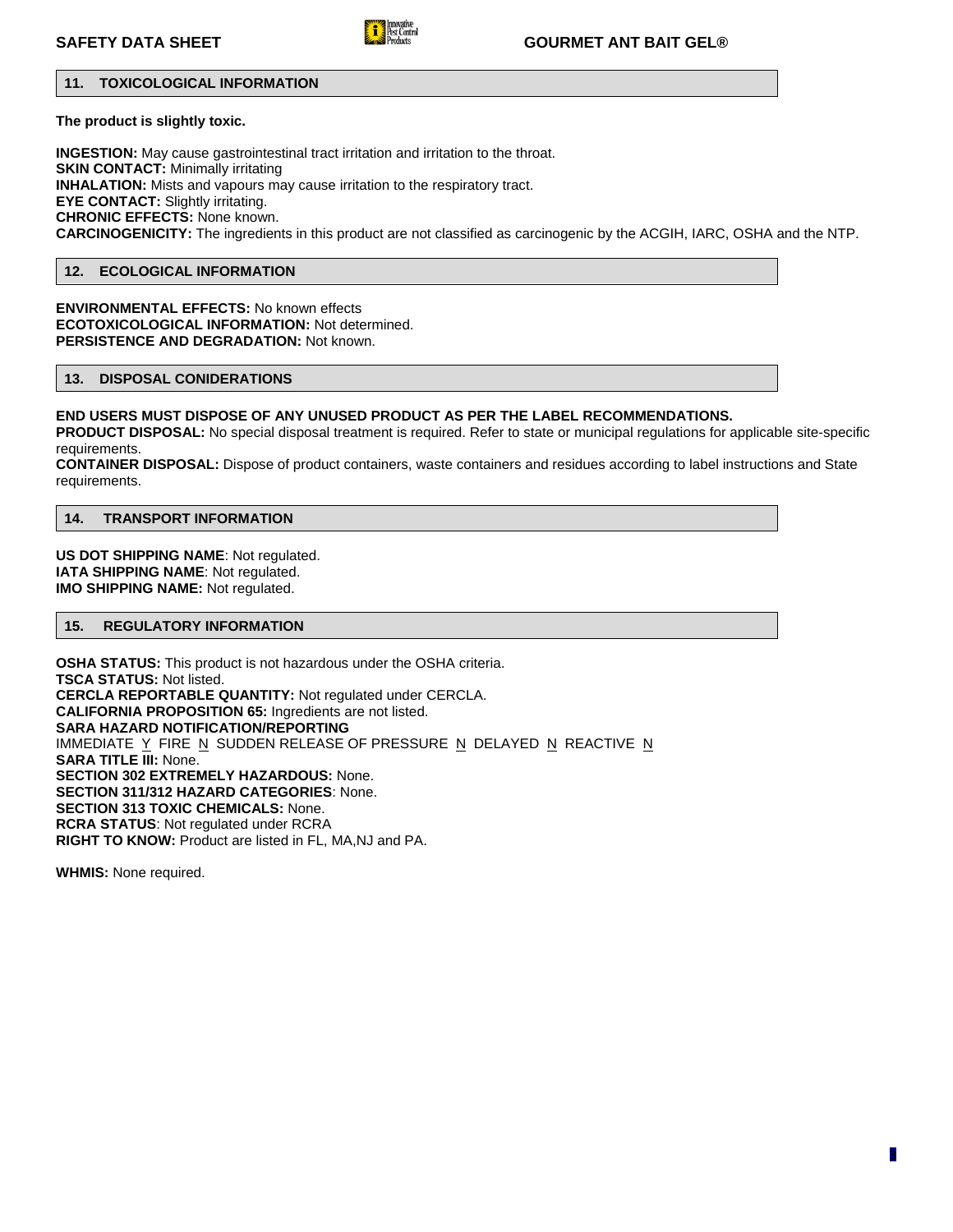

# **SAFETY DATA SHEET GOURMET ANT BAIT GEL®**

# **11. TOXICOLOGICAL INFORMATION**

**The product is slightly toxic.**

**INGESTION:** May cause gastrointestinal tract irritation and irritation to the throat. **SKIN CONTACT:** Minimally irritating **INHALATION:** Mists and vapours may cause irritation to the respiratory tract. **EYE CONTACT:** Slightly irritating. **CHRONIC EFFECTS:** None known. **CARCINOGENICITY:** The ingredients in this product are not classified as carcinogenic by the ACGIH, IARC, OSHA and the NTP.

### **12. ECOLOGICAL INFORMATION**

**ENVIRONMENTAL EFFECTS:** No known effects **ECOTOXICOLOGICAL INFORMATION:** Not determined. **PERSISTENCE AND DEGRADATION:** Not known.

# **13. DISPOSAL CONIDERATIONS**

**END USERS MUST DISPOSE OF ANY UNUSED PRODUCT AS PER THE LABEL RECOMMENDATIONS. PRODUCT DISPOSAL:** No special disposal treatment is required. Refer to state or municipal regulations for applicable site-specific requirements. **CONTAINER DISPOSAL:** Dispose of product containers, waste containers and residues according to label instructions and State

requirements.

# **14. TRANSPORT INFORMATION**

**US DOT SHIPPING NAME**: Not regulated. **IATA SHIPPING NAME**: Not regulated. **IMO SHIPPING NAME:** Not regulated.

# **15. REGULATORY INFORMATION**

**OSHA STATUS:** This product is not hazardous under the OSHA criteria. **TSCA STATUS:** Not listed. **CERCLA REPORTABLE QUANTITY:** Not regulated under CERCLA. **CALIFORNIA PROPOSITION 65:** Ingredients are not listed. **SARA HAZARD NOTIFICATION/REPORTING** IMMEDIATE Y FIRE N SUDDEN RELEASE OF PRESSURE N DELAYED N REACTIVE N **SARA TITLE III:** None. **SECTION 302 EXTREMELY HAZARDOUS:** None. **SECTION 311/312 HAZARD CATEGORIES**: None. **SECTION 313 TOXIC CHEMICALS:** None. **RCRA STATUS**: Not regulated under RCRA **RIGHT TO KNOW:** Product are listed in FL, MA,NJ and PA.

**WHMIS:** None required.